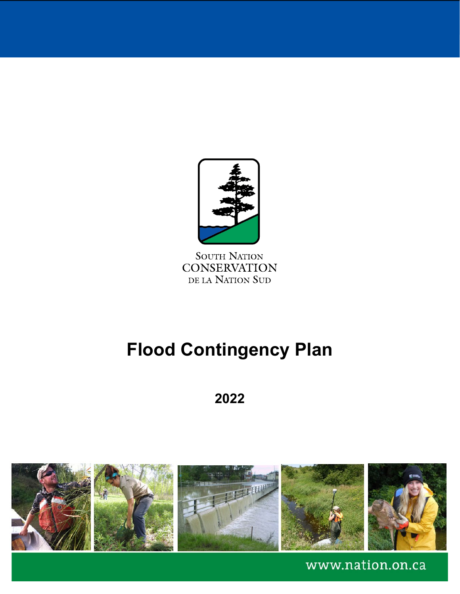

**SOUTH NATION CONSERVATION** DE LA NATION SUD

# **Flood Contingency Plan**

# **2022**



www.nation.on.ca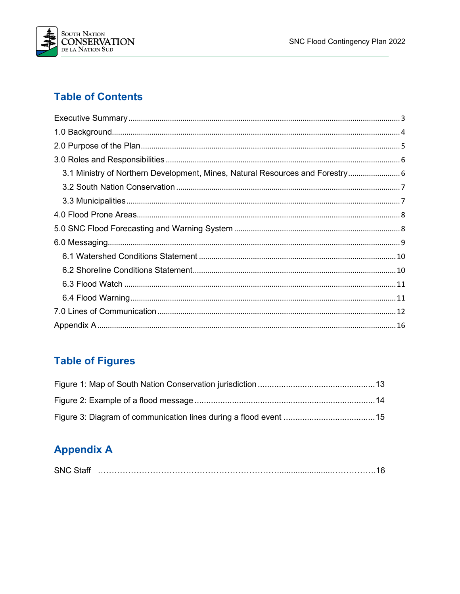

### **Table of Contents**

| 3.1 Ministry of Northern Development, Mines, Natural Resources and Forestry 6 |
|-------------------------------------------------------------------------------|
|                                                                               |
|                                                                               |
|                                                                               |
|                                                                               |
|                                                                               |
|                                                                               |
|                                                                               |
|                                                                               |
|                                                                               |
|                                                                               |
|                                                                               |

## **Table of Figures**

# **Appendix A**

| <b>SNC</b> |  |  |  |
|------------|--|--|--|
|------------|--|--|--|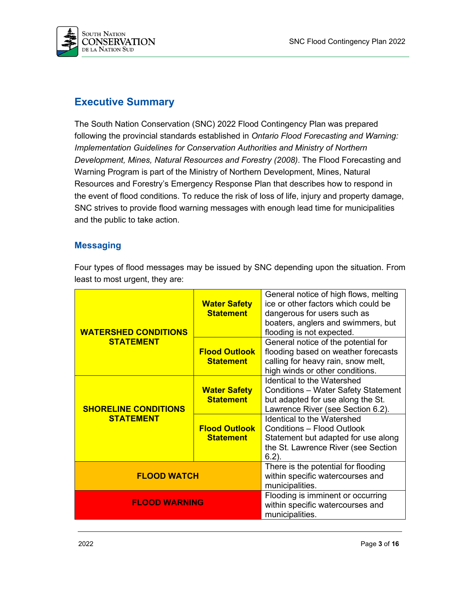

### <span id="page-2-0"></span>**Executive Summary**

The South Nation Conservation (SNC) 2022 Flood Contingency Plan was prepared following the provincial standards established in *Ontario Flood Forecasting and Warning: Implementation Guidelines for Conservation Authorities and Ministry of Northern Development, Mines, Natural Resources and Forestry (2008)*. The Flood Forecasting and Warning Program is part of the Ministry of Northern Development, Mines, Natural Resources and Forestry's Emergency Response Plan that describes how to respond in the event of flood conditions. To reduce the risk of loss of life, injury and property damage, SNC strives to provide flood warning messages with enough lead time for municipalities and the public to take action.

#### **Messaging**

| <b>WATERSHED CONDITIONS</b><br><b>STATEMENT</b><br><b>SHORELINE CONDITIONS</b><br><b>STATEMENT</b> | <b>Water Safety</b><br><b>Statement</b>  | General notice of high flows, melting<br>ice or other factors which could be<br>dangerous for users such as<br>boaters, anglers and swimmers, but<br>flooding is not expected. |  |  |
|----------------------------------------------------------------------------------------------------|------------------------------------------|--------------------------------------------------------------------------------------------------------------------------------------------------------------------------------|--|--|
|                                                                                                    | <b>Flood Outlook</b><br><b>Statement</b> | General notice of the potential for<br>flooding based on weather forecasts<br>calling for heavy rain, snow melt,<br>high winds or other conditions.                            |  |  |
|                                                                                                    | <b>Water Safety</b><br><b>Statement</b>  | <b>Identical to the Watershed</b><br><b>Conditions - Water Safety Statement</b><br>but adapted for use along the St.<br>Lawrence River (see Section 6.2).                      |  |  |
|                                                                                                    | <b>Flood Outlook</b><br><b>Statement</b> | <b>Identical to the Watershed</b><br><b>Conditions - Flood Outlook</b><br>Statement but adapted for use along<br>the St. Lawrence River (see Section<br>$6.2$ ).               |  |  |
| <b>FLOOD WATCH</b>                                                                                 |                                          | There is the potential for flooding<br>within specific watercourses and<br>municipalities.                                                                                     |  |  |
| <b>FLOOD WARNING</b>                                                                               |                                          | Flooding is imminent or occurring<br>within specific watercourses and<br>municipalities.                                                                                       |  |  |

Four types of flood messages may be issued by SNC depending upon the situation. From least to most urgent, they are: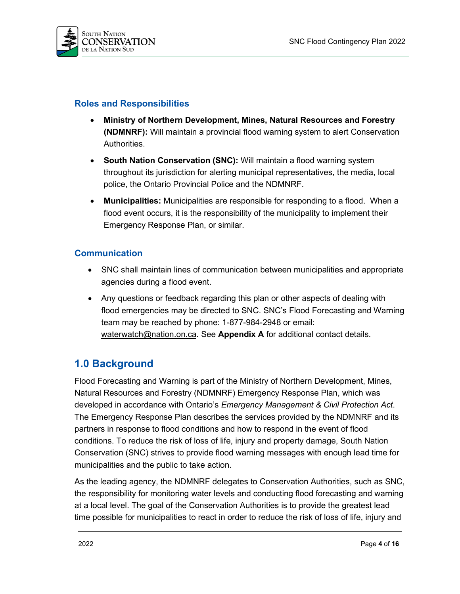

### **Roles and Responsibilities**

- **Ministry of Northern Development, Mines, Natural Resources and Forestry (NDMNRF):** Will maintain a provincial flood warning system to alert Conservation Authorities.
- **South Nation Conservation (SNC):** Will maintain a flood warning system throughout its jurisdiction for alerting municipal representatives, the media, local police, the Ontario Provincial Police and the NDMNRF.
- **Municipalities:** Municipalities are responsible for responding to a flood. When a flood event occurs, it is the responsibility of the municipality to implement their Emergency Response Plan, or similar.

### **Communication**

- SNC shall maintain lines of communication between municipalities and appropriate agencies during a flood event.
- Any questions or feedback regarding this plan or other aspects of dealing with flood emergencies may be directed to SNC. SNC's Flood Forecasting and Warning team may be reached by phone: 1-877-984-2948 or email: [waterwatch@nation.on.ca.](mailto:waterwatch@nation.on.ca) See **Appendix A** for additional contact details.

### <span id="page-3-0"></span>**1.0 Background**

Flood Forecasting and Warning is part of the Ministry of Northern Development, Mines, Natural Resources and Forestry (NDMNRF) Emergency Response Plan, which was developed in accordance with Ontario's *Emergency Management & Civil Protection Act*. The Emergency Response Plan describes the services provided by the NDMNRF and its partners in response to flood conditions and how to respond in the event of flood conditions. To reduce the risk of loss of life, injury and property damage, South Nation Conservation (SNC) strives to provide flood warning messages with enough lead time for municipalities and the public to take action.

As the leading agency, the NDMNRF delegates to Conservation Authorities, such as SNC, the responsibility for monitoring water levels and conducting flood forecasting and warning at a local level. The goal of the Conservation Authorities is to provide the greatest lead time possible for municipalities to react in order to reduce the risk of loss of life, injury and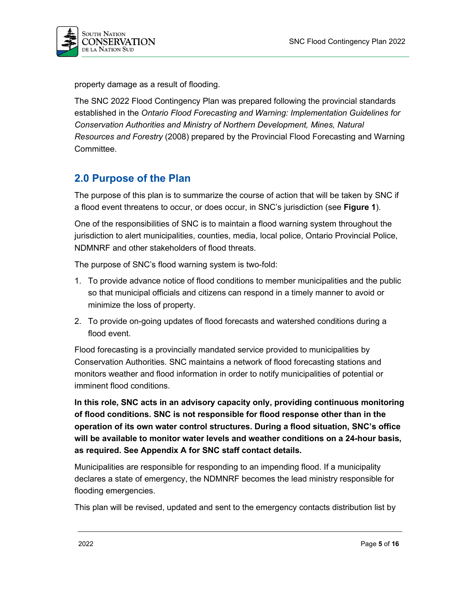

property damage as a result of flooding.

The SNC 2022 Flood Contingency Plan was prepared following the provincial standards established in the *Ontario Flood Forecasting and Warning: Implementation Guidelines for Conservation Authorities and Ministry of Northern Development, Mines, Natural Resources and Forestry* (2008) prepared by the Provincial Flood Forecasting and Warning Committee.

### <span id="page-4-0"></span>**2.0 Purpose of the Plan**

The purpose of this plan is to summarize the course of action that will be taken by SNC if a flood event threatens to occur, or does occur, in SNC's jurisdiction (see **Figure 1**).

One of the responsibilities of SNC is to maintain a flood warning system throughout the jurisdiction to alert municipalities, counties, media, local police, Ontario Provincial Police, NDMNRF and other stakeholders of flood threats.

The purpose of SNC's flood warning system is two-fold:

- 1. To provide advance notice of flood conditions to member municipalities and the public so that municipal officials and citizens can respond in a timely manner to avoid or minimize the loss of property.
- 2. To provide on-going updates of flood forecasts and watershed conditions during a flood event.

Flood forecasting is a provincially mandated service provided to municipalities by Conservation Authorities. SNC maintains a network of flood forecasting stations and monitors weather and flood information in order to notify municipalities of potential or imminent flood conditions.

**In this role, SNC acts in an advisory capacity only, providing continuous monitoring of flood conditions. SNC is not responsible for flood response other than in the operation of its own water control structures. During a flood situation, SNC's office will be available to monitor water levels and weather conditions on a 24-hour basis, as required. See Appendix A for SNC staff contact details.**

Municipalities are responsible for responding to an impending flood. If a municipality declares a state of emergency, the NDMNRF becomes the lead ministry responsible for flooding emergencies.

This plan will be revised, updated and sent to the emergency contacts distribution list by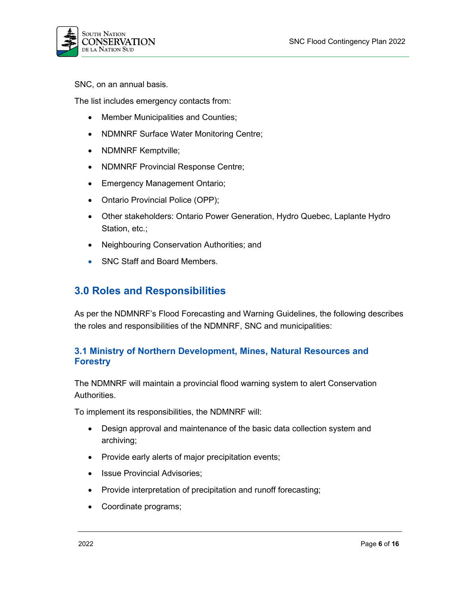

SNC, on an annual basis.

The list includes emergency contacts from:

- Member Municipalities and Counties;
- NDMNRF Surface Water Monitoring Centre;
- NDMNRF Kemptville;
- NDMNRF Provincial Response Centre;
- Emergency Management Ontario;
- Ontario Provincial Police (OPP);
- Other stakeholders: Ontario Power Generation, Hydro Quebec, Laplante Hydro Station, etc.;
- Neighbouring Conservation Authorities; and
- SNC Staff and Board Members.

### <span id="page-5-0"></span>**3.0 Roles and Responsibilities**

As per the NDMNRF's Flood Forecasting and Warning Guidelines, the following describes the roles and responsibilities of the NDMNRF, SNC and municipalities:

### <span id="page-5-1"></span>**3.1 Ministry of Northern Development, Mines, Natural Resources and Forestry**

The NDMNRF will maintain a provincial flood warning system to alert Conservation Authorities.

To implement its responsibilities, the NDMNRF will:

- Design approval and maintenance of the basic data collection system and archiving;
- Provide early alerts of major precipitation events;
- Issue Provincial Advisories;
- Provide interpretation of precipitation and runoff forecasting;
- Coordinate programs;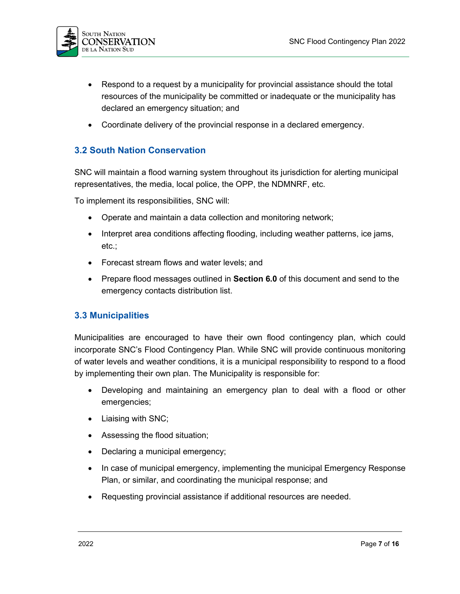

- Respond to a request by a municipality for provincial assistance should the total resources of the municipality be committed or inadequate or the municipality has declared an emergency situation; and
- Coordinate delivery of the provincial response in a declared emergency.

### <span id="page-6-0"></span>**3.2 South Nation Conservation**

SNC will maintain a flood warning system throughout its jurisdiction for alerting municipal representatives, the media, local police, the OPP, the NDMNRF, etc.

To implement its responsibilities, SNC will:

- Operate and maintain a data collection and monitoring network;
- Interpret area conditions affecting flooding, including weather patterns, ice jams, etc.;
- Forecast stream flows and water levels; and
- Prepare flood messages outlined in **Section 6.0** of this document and send to the emergency contacts distribution list.

#### <span id="page-6-1"></span>**3.3 Municipalities**

Municipalities are encouraged to have their own flood contingency plan, which could incorporate SNC's Flood Contingency Plan. While SNC will provide continuous monitoring of water levels and weather conditions, it is a municipal responsibility to respond to a flood by implementing their own plan. The Municipality is responsible for:

- Developing and maintaining an emergency plan to deal with a flood or other emergencies;
- Liaising with SNC;
- Assessing the flood situation;
- Declaring a municipal emergency;
- In case of municipal emergency, implementing the municipal Emergency Response Plan, or similar, and coordinating the municipal response; and
- Requesting provincial assistance if additional resources are needed.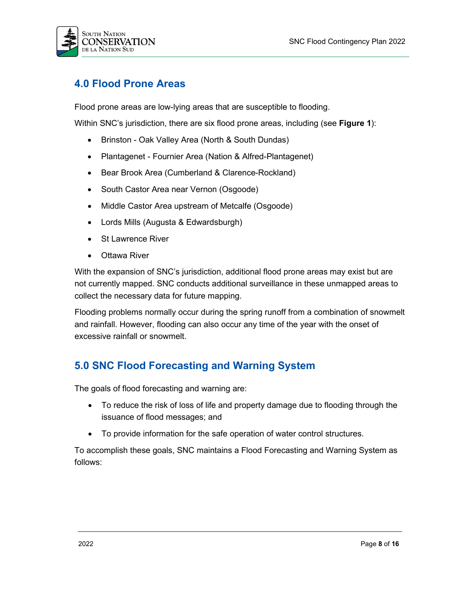

### <span id="page-7-0"></span>**4.0 Flood Prone Areas**

Flood prone areas are low-lying areas that are susceptible to flooding.

Within SNC's jurisdiction, there are six flood prone areas, including (see **Figure 1**):

- Brinston Oak Valley Area (North & South Dundas)
- Plantagenet Fournier Area (Nation & Alfred-Plantagenet)
- Bear Brook Area (Cumberland & Clarence-Rockland)
- South Castor Area near Vernon (Osgoode)
- Middle Castor Area upstream of Metcalfe (Osgoode)
- Lords Mills (Augusta & Edwardsburgh)
- **St Lawrence River**
- **Ottawa River**

With the expansion of SNC's jurisdiction, additional flood prone areas may exist but are not currently mapped. SNC conducts additional surveillance in these unmapped areas to collect the necessary data for future mapping.

Flooding problems normally occur during the spring runoff from a combination of snowmelt and rainfall. However, flooding can also occur any time of the year with the onset of excessive rainfall or snowmelt.

### <span id="page-7-1"></span>**5.0 SNC Flood Forecasting and Warning System**

The goals of flood forecasting and warning are:

- To reduce the risk of loss of life and property damage due to flooding through the issuance of flood messages; and
- To provide information for the safe operation of water control structures.

To accomplish these goals, SNC maintains a Flood Forecasting and Warning System as follows: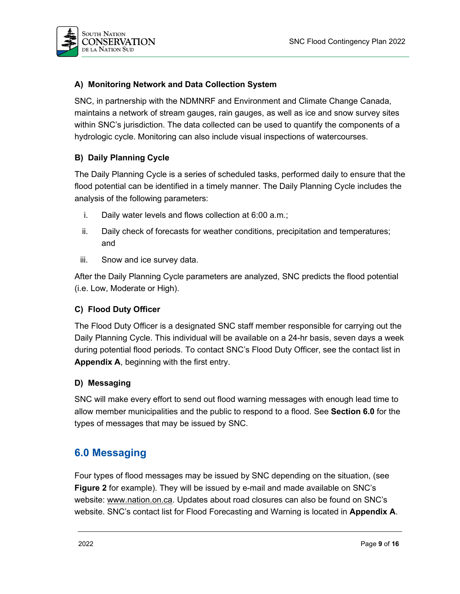

### **A) Monitoring Network and Data Collection System**

SNC, in partnership with the NDMNRF and Environment and Climate Change Canada, maintains a network of stream gauges, rain gauges, as well as ice and snow survey sites within SNC's jurisdiction. The data collected can be used to quantify the components of a hydrologic cycle. Monitoring can also include visual inspections of watercourses.

### **B) Daily Planning Cycle**

The Daily Planning Cycle is a series of scheduled tasks, performed daily to ensure that the flood potential can be identified in a timely manner. The Daily Planning Cycle includes the analysis of the following parameters:

- i. Daily water levels and flows collection at 6:00 a.m.;
- ii. Daily check of forecasts for weather conditions, precipitation and temperatures; and
- iii. Snow and ice survey data.

After the Daily Planning Cycle parameters are analyzed, SNC predicts the flood potential (i.e. Low, Moderate or High).

#### **C) Flood Duty Officer**

The Flood Duty Officer is a designated SNC staff member responsible for carrying out the Daily Planning Cycle. This individual will be available on a 24-hr basis, seven days a week during potential flood periods. To contact SNC's Flood Duty Officer, see the contact list in **Appendix A**, beginning with the first entry.

#### **D) Messaging**

SNC will make every effort to send out flood warning messages with enough lead time to allow member municipalities and the public to respond to a flood. See **Section 6.0** for the types of messages that may be issued by SNC.

### <span id="page-8-0"></span>**6.0 Messaging**

Four types of flood messages may be issued by SNC depending on the situation, (see **Figure 2** for example). They will be issued by e-mail and made available on SNC's website: [www.nation.on.ca.](http://www.nation.on.ca/) Updates about road closures can also be found on SNC's website. SNC's contact list for Flood Forecasting and Warning is located in **Appendix A**.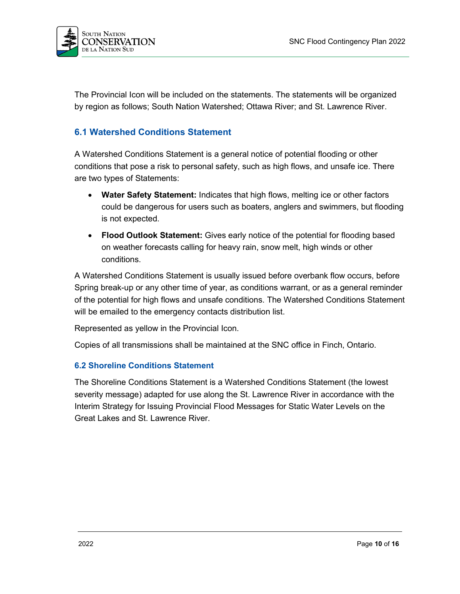

The Provincial Icon will be included on the statements. The statements will be organized by region as follows; South Nation Watershed; Ottawa River; and St. Lawrence River.

### <span id="page-9-0"></span>**6.1 Watershed Conditions Statement**

A Watershed Conditions Statement is a general notice of potential flooding or other conditions that pose a risk to personal safety, such as high flows, and unsafe ice. There are two types of Statements:

- **Water Safety Statement:** Indicates that high flows, melting ice or other factors could be dangerous for users such as boaters, anglers and swimmers, but flooding is not expected.
- **Flood Outlook Statement:** Gives early notice of the potential for flooding based on weather forecasts calling for heavy rain, snow melt, high winds or other conditions.

A Watershed Conditions Statement is usually issued before overbank flow occurs, before Spring break-up or any other time of year, as conditions warrant, or as a general reminder of the potential for high flows and unsafe conditions. The Watershed Conditions Statement will be emailed to the emergency contacts distribution list.

Represented as yellow in the Provincial Icon.

Copies of all transmissions shall be maintained at the SNC office in Finch, Ontario.

#### <span id="page-9-1"></span>**6.2 Shoreline Conditions Statement**

The Shoreline Conditions Statement is a Watershed Conditions Statement (the lowest severity message) adapted for use along the St. Lawrence River in accordance with the Interim Strategy for Issuing Provincial Flood Messages for Static Water Levels on the Great Lakes and St. Lawrence River.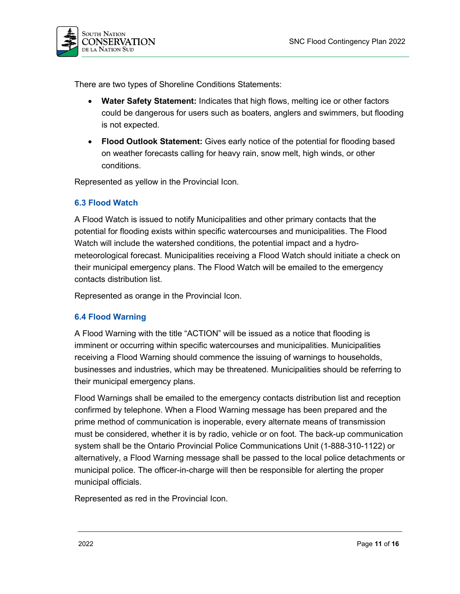

There are two types of Shoreline Conditions Statements:

- **Water Safety Statement:** Indicates that high flows, melting ice or other factors could be dangerous for users such as boaters, anglers and swimmers, but flooding is not expected.
- **Flood Outlook Statement:** Gives early notice of the potential for flooding based on weather forecasts calling for heavy rain, snow melt, high winds, or other conditions.

Represented as yellow in the Provincial Icon.

#### <span id="page-10-0"></span>**6.3 Flood Watch**

A Flood Watch is issued to notify Municipalities and other primary contacts that the potential for flooding exists within specific watercourses and municipalities. The Flood Watch will include the watershed conditions, the potential impact and a hydrometeorological forecast. Municipalities receiving a Flood Watch should initiate a check on their municipal emergency plans. The Flood Watch will be emailed to the emergency contacts distribution list.

Represented as orange in the Provincial Icon.

#### <span id="page-10-1"></span>**6.4 Flood Warning**

A Flood Warning with the title "ACTION" will be issued as a notice that flooding is imminent or occurring within specific watercourses and municipalities. Municipalities receiving a Flood Warning should commence the issuing of warnings to households, businesses and industries, which may be threatened. Municipalities should be referring to their municipal emergency plans.

Flood Warnings shall be emailed to the emergency contacts distribution list and reception confirmed by telephone. When a Flood Warning message has been prepared and the prime method of communication is inoperable, every alternate means of transmission must be considered, whether it is by radio, vehicle or on foot. The back-up communication system shall be the Ontario Provincial Police Communications Unit (1-888-310-1122) or alternatively, a Flood Warning message shall be passed to the local police detachments or municipal police. The officer-in-charge will then be responsible for alerting the proper municipal officials.

Represented as red in the Provincial Icon.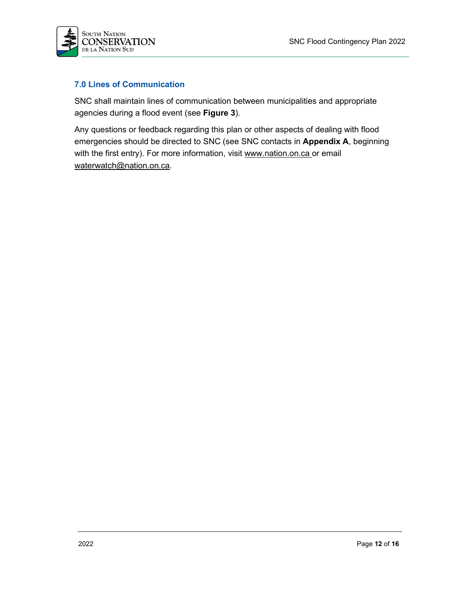

### <span id="page-11-0"></span>**7.0 Lines of Communication**

SNC shall maintain lines of communication between municipalities and appropriate agencies during a flood event (see **Figure 3**).

Any questions or feedback regarding this plan or other aspects of dealing with flood emergencies should be directed to SNC (see SNC contacts in **Appendix A**, beginning with the first entry). For more information, visit [www.nation.on.ca](http://www.nation.on.ca/) or email [waterwatch@nation.on.ca.](mailto:waterwatch@nation.on.ca)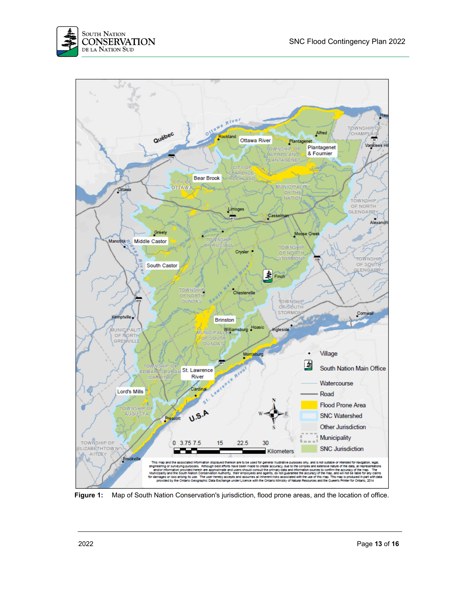



**Figure 1:** Map of South Nation Conservation's jurisdiction, flood prone areas, and the location of office.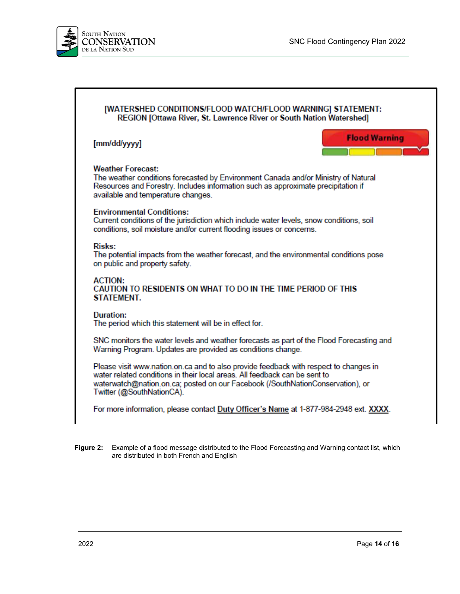٦



| [WATERSHED CONDITIONS/FLOOD WATCH/FLOOD WARNING] STATEMENT:<br>REGION [Ottawa River, St. Lawrence River or South Nation Watershed]                                                                                                                                                 |  |  |  |  |
|------------------------------------------------------------------------------------------------------------------------------------------------------------------------------------------------------------------------------------------------------------------------------------|--|--|--|--|
| <b>Flood Warning</b><br>[mm/dd/yyyy]                                                                                                                                                                                                                                               |  |  |  |  |
| <b>Weather Forecast:</b><br>The weather conditions forecasted by Environment Canada and/or Ministry of Natural<br>Resources and Forestry. Includes information such as approximate precipitation if<br>available and temperature changes.                                          |  |  |  |  |
| <b>Environmental Conditions:</b><br>Current conditions of the jurisdiction which include water levels, snow conditions, soil<br>conditions, soil moisture and/or current flooding issues or concerns.                                                                              |  |  |  |  |
| <b>Risks:</b><br>The potential impacts from the weather forecast, and the environmental conditions pose<br>on public and property safety.                                                                                                                                          |  |  |  |  |
| <b>ACTION:</b><br>CAUTION TO RESIDENTS ON WHAT TO DO IN THE TIME PERIOD OF THIS<br>STATEMENT.                                                                                                                                                                                      |  |  |  |  |
| Duration:<br>The period which this statement will be in effect for.                                                                                                                                                                                                                |  |  |  |  |
| SNC monitors the water levels and weather forecasts as part of the Flood Forecasting and<br>Warning Program. Updates are provided as conditions change.                                                                                                                            |  |  |  |  |
| Please visit www.nation.on.ca and to also provide feedback with respect to changes in<br>water related conditions in their local areas. All feedback can be sent to<br>waterwatch@nation.on.ca; posted on our Facebook (/SouthNationConservation), or<br>Twitter (@SouthNationCA). |  |  |  |  |
| For more information, please contact Duty Officer's Name at 1-877-984-2948 ext. XXXX.                                                                                                                                                                                              |  |  |  |  |

**Figure 2:** Example of a flood message distributed to the Flood Forecasting and Warning contact list, which are distributed in both French and English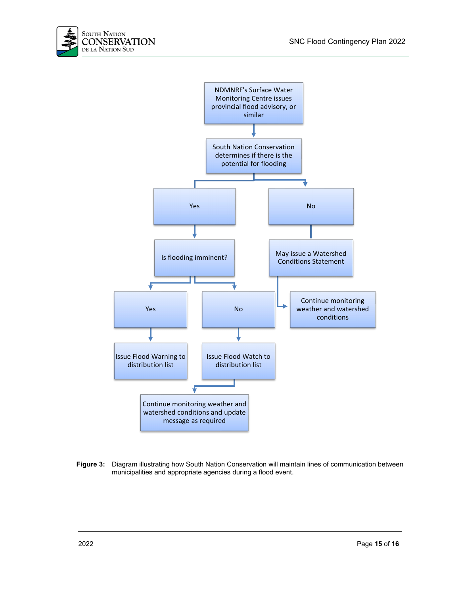



**Figure 3:** Diagram illustrating how South Nation Conservation will maintain lines of communication between municipalities and appropriate agencies during a flood event.